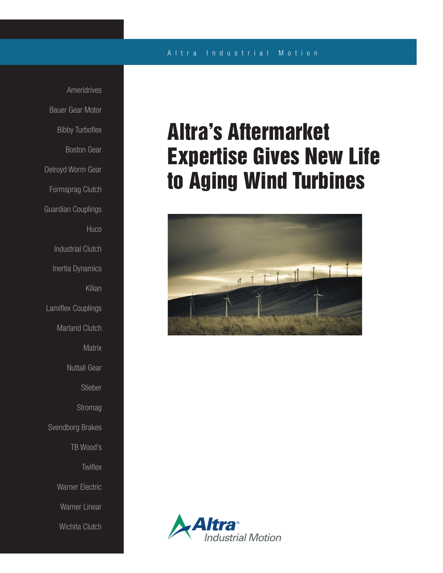### A l t r a Industrial Motion

Ameridrives Bauer Gear Motor Bibby Turboflex Boston Gear Delroyd Worm Gear Formsprag Clutch Guardian Couplings **Huco** Industrial Clutch Inertia Dynamics Kilian Lamiflex Couplings Marland Clutch **Matrix** Nuttall Gear Stieber **Stromag** Svendborg Brakes TB Wood's **Twiflex** Warner Electric Warner Linear Wichita Clutch

# Altra's Aftermarket Expertise Gives New Life to Aging Wind Turbines



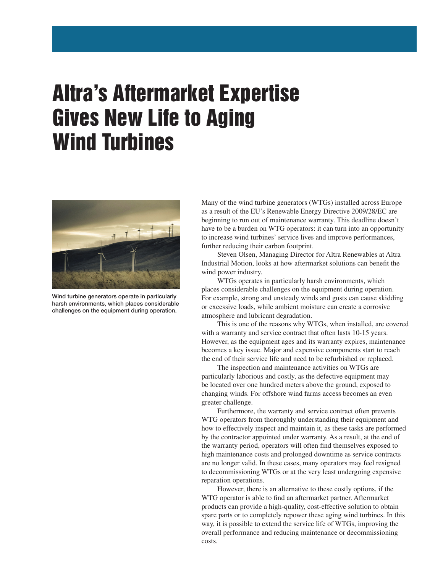## Altra's Aftermarket Expertise Gives New Life to Aging Wind Turbines



Wind turbine generators operate in particularly harsh environments, which places considerable challenges on the equipment during operation.

Many of the wind turbine generators (WTGs) installed across Europe as a result of the EU's Renewable Energy Directive 2009/28/EC are beginning to run out of maintenance warranty. This deadline doesn't have to be a burden on WTG operators: it can turn into an opportunity to increase wind turbines' service lives and improve performances, further reducing their carbon footprint.

 Steven Olsen, Managing Director for Altra Renewables at Altra Industrial Motion, looks at how aftermarket solutions can benefit the wind power industry.

 WTGs operates in particularly harsh environments, which places considerable challenges on the equipment during operation. For example, strong and unsteady winds and gusts can cause skidding or excessive loads, while ambient moisture can create a corrosive atmosphere and lubricant degradation.

 This is one of the reasons why WTGs, when installed, are covered with a warranty and service contract that often lasts 10-15 years. However, as the equipment ages and its warranty expires, maintenance becomes a key issue. Major and expensive components start to reach the end of their service life and need to be refurbished or replaced.

 The inspection and maintenance activities on WTGs are particularly laborious and costly, as the defective equipment may be located over one hundred meters above the ground, exposed to changing winds. For offshore wind farms access becomes an even greater challenge.

 Furthermore, the warranty and service contract often prevents WTG operators from thoroughly understanding their equipment and how to effectively inspect and maintain it, as these tasks are performed by the contractor appointed under warranty. As a result, at the end of the warranty period, operators will often find themselves exposed to high maintenance costs and prolonged downtime as service contracts are no longer valid. In these cases, many operators may feel resigned to decommissioning WTGs or at the very least undergoing expensive reparation operations.

 However, there is an alternative to these costly options, if the WTG operator is able to find an aftermarket partner. Aftermarket products can provide a high-quality, cost-effective solution to obtain spare parts or to completely repower these aging wind turbines. In this way, it is possible to extend the service life of WTGs, improving the overall performance and reducing maintenance or decommissioning costs.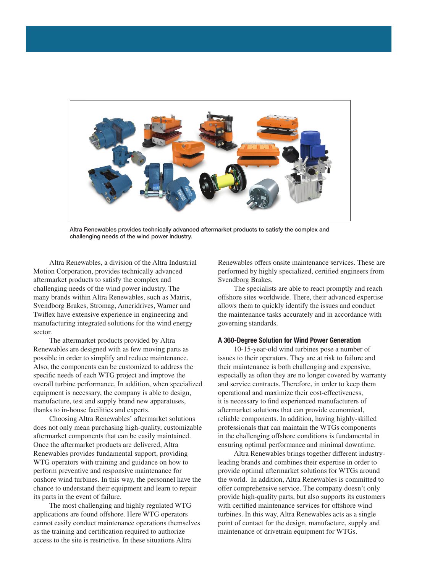

Altra Renewables provides technically advanced aftermarket products to satisfy the complex and challenging needs of the wind power industry.

 Altra Renewables, a division of the Altra Industrial Motion Corporation, provides technically advanced aftermarket products to satisfy the complex and challenging needs of the wind power industry. The many brands within Altra Renewables, such as Matrix, Svendborg Brakes, Stromag, Ameridrives, Warner and Twiflex have extensive experience in engineering and manufacturing integrated solutions for the wind energy sector.

 The aftermarket products provided by Altra Renewables are designed with as few moving parts as possible in order to simplify and reduce maintenance. Also, the components can be customized to address the specific needs of each WTG project and improve the overall turbine performance. In addition, when specialized equipment is necessary, the company is able to design, manufacture, test and supply brand new apparatuses, thanks to in-house facilities and experts.

 Choosing Altra Renewables' aftermarket solutions does not only mean purchasing high-quality, customizable aftermarket components that can be easily maintained. Once the aftermarket products are delivered, Altra Renewables provides fundamental support, providing WTG operators with training and guidance on how to perform preventive and responsive maintenance for onshore wind turbines. In this way, the personnel have the chance to understand their equipment and learn to repair its parts in the event of failure.

 The most challenging and highly regulated WTG applications are found offshore. Here WTG operators cannot easily conduct maintenance operations themselves as the training and certification required to authorize access to the site is restrictive. In these situations Altra

Renewables offers onsite maintenance services. These are performed by highly specialized, certified engineers from Svendborg Brakes.

 The specialists are able to react promptly and reach offshore sites worldwide. There, their advanced expertise allows them to quickly identify the issues and conduct the maintenance tasks accurately and in accordance with governing standards.

#### A 360-Degree Solution for Wind Power Generation

 10-15-year-old wind turbines pose a number of issues to their operators. They are at risk to failure and their maintenance is both challenging and expensive, especially as often they are no longer covered by warranty and service contracts. Therefore, in order to keep them operational and maximize their cost-effectiveness, it is necessary to find experienced manufacturers of aftermarket solutions that can provide economical, reliable components. In addition, having highly-skilled professionals that can maintain the WTGs components in the challenging offshore conditions is fundamental in ensuring optimal performance and minimal downtime.

 Altra Renewables brings together different industryleading brands and combines their expertise in order to provide optimal aftermarket solutions for WTGs around the world. In addition, Altra Renewables is committed to offer comprehensive service. The company doesn't only provide high-quality parts, but also supports its customers with certified maintenance services for offshore wind turbines. In this way, Altra Renewables acts as a single point of contact for the design, manufacture, supply and maintenance of drivetrain equipment for WTGs.